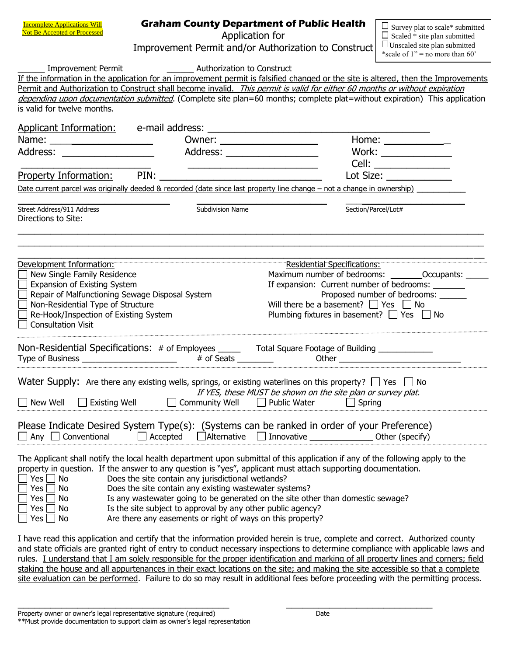|  | <b>Graham County Department of Public Health</b> |  |
|--|--------------------------------------------------|--|
|  | Application for                                  |  |

 $\square$  Survey plat to scale\* submitted  $\Box$  Scaled  $*$  site plan submitted

|                                                                                                                                                               |                                                                | Improvement Permit and/or Authorization to Construct   UUnscaled site plan submitted                                                                                                                                                                              | *scale of 1" = no more than 60"    |  |  |
|---------------------------------------------------------------------------------------------------------------------------------------------------------------|----------------------------------------------------------------|-------------------------------------------------------------------------------------------------------------------------------------------------------------------------------------------------------------------------------------------------------------------|------------------------------------|--|--|
| <b>Improvement Permit</b>                                                                                                                                     | <b>Example 21</b> Authorization to Construct                   | If the information in the application for an improvement permit is falsified changed or the site is altered, then the Improvements<br>Permit and Authorization to Construct shall become invalid. This permit is valid for either 60 months or without expiration |                                    |  |  |
| is valid for twelve months.                                                                                                                                   |                                                                | depending upon documentation submitted. (Complete site plan=60 months; complete plat=without expiration) This application                                                                                                                                         |                                    |  |  |
|                                                                                                                                                               |                                                                |                                                                                                                                                                                                                                                                   |                                    |  |  |
| Name: ________________________                                                                                                                                |                                                                | Owner: _________________________                                                                                                                                                                                                                                  | Home: $\_$                         |  |  |
| Address: ___________________                                                                                                                                  |                                                                | Address: ____________________                                                                                                                                                                                                                                     | Work: $\_$                         |  |  |
|                                                                                                                                                               |                                                                |                                                                                                                                                                                                                                                                   |                                    |  |  |
|                                                                                                                                                               | <b>Property Information:</b> PIN: <u>Property Information:</u> |                                                                                                                                                                                                                                                                   | Lot Size: ______________           |  |  |
|                                                                                                                                                               |                                                                | Date current parcel was originally deeded & recorded (date since last property line change – not a change in ownership)                                                                                                                                           |                                    |  |  |
| Street Address/911 Address<br>Directions to Site:                                                                                                             | Subdivision Name                                               |                                                                                                                                                                                                                                                                   | Section/Parcel/Lot#                |  |  |
|                                                                                                                                                               |                                                                |                                                                                                                                                                                                                                                                   |                                    |  |  |
| Development Information:                                                                                                                                      |                                                                | Residential Specifications:<br>Maximum number of bedrooms: _________Occupants: _                                                                                                                                                                                  |                                    |  |  |
| New Single Family Residence<br>Expansion of Existing System                                                                                                   |                                                                | If expansion: Current number of bedrooms: ______                                                                                                                                                                                                                  |                                    |  |  |
| Repair of Malfunctioning Sewage Disposal System                                                                                                               |                                                                |                                                                                                                                                                                                                                                                   | Proposed number of bedrooms: _____ |  |  |
| Non-Residential Type of Structure                                                                                                                             |                                                                | Will there be a basement? $\Box$ Yes $\Box$ No                                                                                                                                                                                                                    |                                    |  |  |
| Re-Hook/Inspection of Existing System<br><b>Consultation Visit</b>                                                                                            |                                                                | Plumbing fixtures in basement? $\Box$ Yes $\Box$ No                                                                                                                                                                                                               |                                    |  |  |
|                                                                                                                                                               |                                                                | Non-Residential Specifications: # of Employees ______ Total Square Footage of Building ____________                                                                                                                                                               |                                    |  |  |
|                                                                                                                                                               |                                                                | Water Supply: Are there any existing wells, springs, or existing waterlines on this property? $\Box$ Yes $\Box$ No<br>If YES, these MUST be shown on the site plan or survey plat.                                                                                |                                    |  |  |
|                                                                                                                                                               |                                                                | New Well $\Box$ Existing Well $\Box$ Community Well $\Box$ Public Water $\Box$ Spring                                                                                                                                                                             |                                    |  |  |
| Conventional<br>$\Box$ Any $\Box$                                                                                                                             | Accepted <b>Alternative</b>                                    | Please Indicate Desired System Type(s): (Systems can be ranked in order of your Preference)<br>Innovative                                                                                                                                                         | Other (specify)                    |  |  |
|                                                                                                                                                               |                                                                | The Applicant shall notify the local health department upon submittal of this application if any of the following apply to the<br>property in question. If the answer to any question is "yes", applicant must attach supporting documentation.                   |                                    |  |  |
| $\Box$ Yes<br>No                                                                                                                                              | Does the site contain any jurisdictional wetlands?             |                                                                                                                                                                                                                                                                   |                                    |  |  |
| $\Box$ Yes<br>Does the site contain any existing wastewater systems?<br>No<br>Is any wastewater going to be generated on the site other than domestic sewage? |                                                                |                                                                                                                                                                                                                                                                   |                                    |  |  |
| $\Box$ Yes<br>No.<br>Yes<br>No.                                                                                                                               | Is the site subject to approval by any other public agency?    |                                                                                                                                                                                                                                                                   |                                    |  |  |
| $\Box$ Yes<br><b>No</b>                                                                                                                                       | Are there any easements or right of ways on this property?     |                                                                                                                                                                                                                                                                   |                                    |  |  |
|                                                                                                                                                               |                                                                | I have read this application and certify that the information provided herein is true, complete and correct. Authorized county<br>rials are grapted right of ontacto conduct persecues increations to determine compliance with applicable law                    |                                    |  |  |

and state officials are granted right of entry to conduct necessary inspections to determine compliance with applicable laws and rules. I understand that I am solely responsible for the proper identification and marking of all property lines and corners; field staking the house and all appurtenances in their exact locations on the site; and making the site accessible so that a complete site evaluation can be performed. Failure to do so may result in additional fees before proceeding with the permitting process.

 $\overline{\phantom{a}}$  , and the contribution of the contribution of the contribution of the contribution of the contribution of the contribution of the contribution of the contribution of the contribution of the contribution of the

Incomplete Applications Will Not Be Accepted or Processed

Property owner or owner's legal representative signature (required) Date

<sup>\*\*</sup>Must provide documentation to support claim as owner's legal representation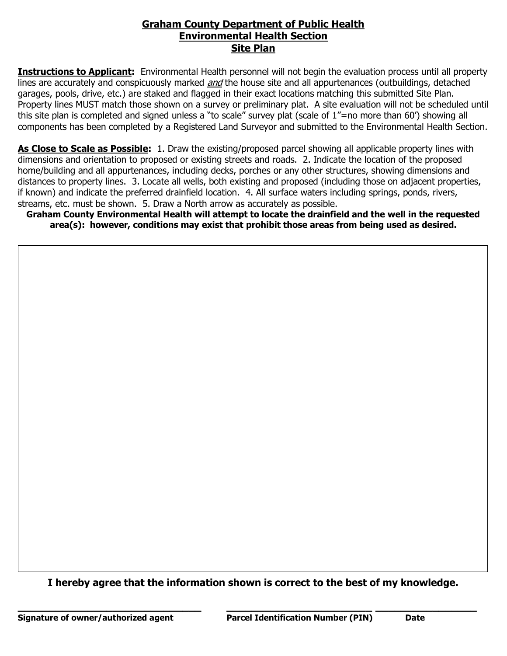## **Graham County Department of Public Health Environmental Health Section Site Plan**

**Instructions to Applicant:** Environmental Health personnel will not begin the evaluation process until all property lines are accurately and conspicuously marked *and* the house site and all appurtenances (outbuildings, detached garages, pools, drive, etc.) are staked and flagged in their exact locations matching this submitted Site Plan. Property lines MUST match those shown on a survey or preliminary plat. A site evaluation will not be scheduled until this site plan is completed and signed unless a "to scale" survey plat (scale of 1"=no more than 60') showing all components has been completed by a Registered Land Surveyor and submitted to the Environmental Health Section.

**As Close to Scale as Possible:** 1. Draw the existing/proposed parcel showing all applicable property lines with dimensions and orientation to proposed or existing streets and roads. 2. Indicate the location of the proposed home/building and all appurtenances, including decks, porches or any other structures, showing dimensions and distances to property lines. 3. Locate all wells, both existing and proposed (including those on adjacent properties, if known) and indicate the preferred drainfield location. 4. All surface waters including springs, ponds, rivers, streams, etc. must be shown. 5. Draw a North arrow as accurately as possible.

**Graham County Environmental Health will attempt to locate the drainfield and the well in the requested area(s): however, conditions may exist that prohibit those areas from being used as desired.**

**I hereby agree that the information shown is correct to the best of my knowledge.**

**\_\_\_\_\_\_\_\_\_\_\_\_\_\_\_\_\_\_\_\_\_\_\_\_\_\_\_\_\_ \_\_\_\_\_\_\_\_\_\_\_\_\_\_\_\_\_\_\_\_\_\_\_ \_\_\_\_\_\_\_\_\_\_\_\_\_\_\_\_**